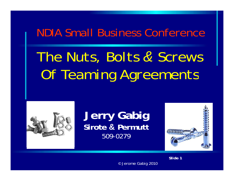### NDIA Small Business Conference

# *The Nuts, Bolts & Screws Of Teaming Agreements*



### **Jerry Gabig Si t ro e & P tt ermu** 509-0279



*Slide 1*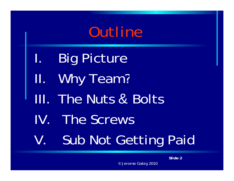

- I.Big Picture
- II. Why Team?
- III. The Nuts & Bolts
- IV. The Screws
- V. Sub Not Getting Paid

*Slide 2*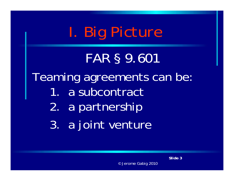

*FAR § 9 601.*  Teaming agreements can be: 1. a subcontract 2. a partnership 3. a joint venture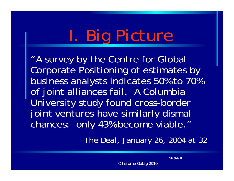# *I Big Picture . Picture*

"A survey by the Centre for Global Corporate Positioning of estimates by business analysts indicates 50% to 70% of joint alliances fail. A Columbia University study found cross-border joint ventures have similarly dismal chances: only 43% become viable."

*The Deal, January 26, 2004 at 32*

*Slide 4*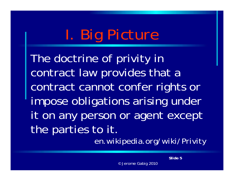#### *I Big Picture . PIMITULUM*

The doctrine of privity in contract law provides that a contract cannot confer rights or impose obligations arising under it on any person or agent except the parties to it.

*en.wikipedia.org/wiki/Privity*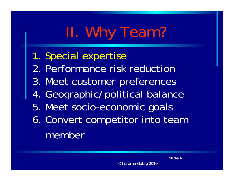#### *II Why Team? .*

- 1. Special expertise
- 2. Performance risk reduction
- 3. Meet customer preferences
- 4. Geographic/political balance
- 5. Meet socio-economic goals
- 6. Convert com petitor into team member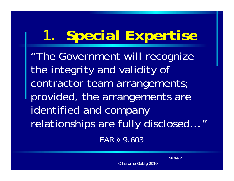#### *1 .Special Expertise*

"The Government will recognize the integrity and validity of contractor team arrangements; provided, the arrangements are identified and company relationships are fully disclosed…." *FAR § 9.603*

*Slide 7*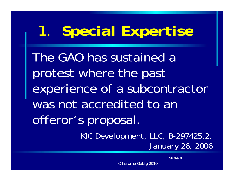#### *1 .Special Expertise*

The GAO has sustained a protest where the past experience of a subcontractor was not accredited to an offeror's proposal.

> *KIC Development, LLC, B-297425.2, January 26 2006 26,*

> > *Slide 8*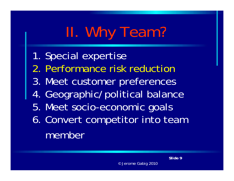#### *II Why Team? .*

- 1. Special expertise
- 2. Performance risk reduction
- 3. Meet customer preferences
- 4. Geographic/political balance
- 5. Meet socio-economic goals
- 6. Convert com petitor into team member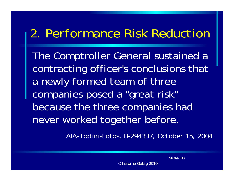### *2 Performance Risk Reduction 2.*

The Comptroller General sustained a contracting officer's conclusions that a newly formed team of three companies posed a "great risk" because the three companies had never worked to gether before.

*AIA-Todini-Lotos, B-294337, October 15, 2004*

*Slide 10*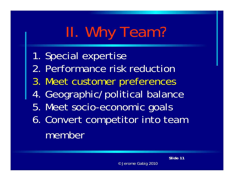#### *II Why Team? .*

- 1. Special expertise
- 2. Performance risk reduction
- 3. Meet customer preferences
- 4. Geographic/political balance
- 5. Meet socio-economic goals
- 6. Convert com petitor into team member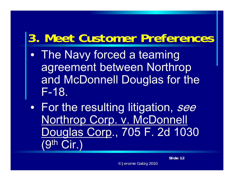## *3 M t C t P f 3. Meet Cus tomer Pre ferences*

- $\bullet$ • The Navy forced a teaming agreement between Northrop and McDonnell Douglas for the F-18.
- $\bullet$ • For the resulting litigation, see Northrop Corp. v. McDonnell Douglas Corp., 705 F. 2d 1030 (9th Cir.)

*Slide 12*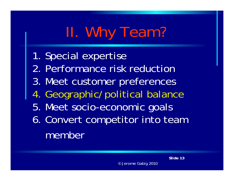#### *II Why Team? .*

- 1. Special expertise
- 2. Performance risk reduction
- 3. Meet customer preferences
- 4. Geographic/political balance
- 5. Meet socio-economic goals
- 6. Convert com petitor into team member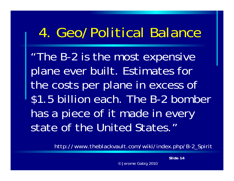## *4 Geo/Political Balance 4.*

"The B -2 is the most expensive plane ever built. Estimates for the costs per plane in excess of \$1.5 billion each. The B -2 bomber has a piece of it made in every state of the United States."

*http://www theblackvault com/wiki/index php/B -2 Spirit http://www.theblackvault.com/wiki/index.php/B2\_Spirit*

*Slide 14*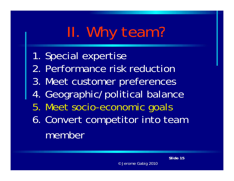#### *II Why team? .*

- 1. Special expertise
- 2. Performance risk reduction
- 3. Meet customer preferences
- 4. Geographic/political balance
- 5. Meet socio-economic goals
- 6. Convert com petitor into team member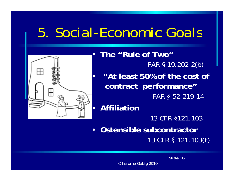## *5 Social 5. Social-Economic Goals*



 $\bullet$ **The "Rule of Two"** *FAR § 19.202-2(b)*  $\bullet$  **"At least 50% of the cost of contract performance"**  *FAR § 52.219-14*  $\bullet$  **Affiliation**  *13 CFR §121.103* • **Ostensible subcontractor**  *13 CFR § 121.103(f)*

*Slide 16*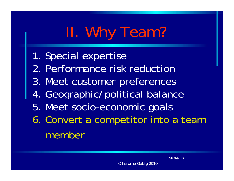#### *II Why Team? .*

- 1. Special expertise
- 2. Performance risk reduction
- 3. Meet customer preferences
- 4. Geographic/political balance
- 5. Meet socio-economic goals
- 6. Convert a com petitor into a team member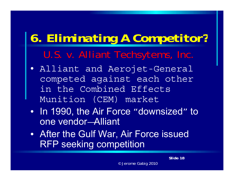## 6. Eliminating A Competitor?

*U S <sup>v</sup> Alliant U.S. v. Techsytems Techsytems, Inc.*

- Alliant and Aerojet-General competed against each other in the Combined Effects Munition (CEM) market
- In 1990, the Air Force "downsized " to one vendor-Alliant
- After the Gulf War, Air Force issued RFP seeking competition

*Slide 18*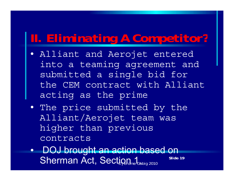### *II. Eliminating A Competitor?*

- Alliant and Aerojet entered into a teaming agreement and submitted a sin gle bid for the CEM contract with Alliant acting as the prime
- The price submitted by the Alliant/Aerojet team was higher than previous contracts
- DOJ brought an action based on *Slide 19* ${\sf Sherman\, Act,\, Sectign_{\sf A}\hspace{-1pt}._{\sf Gabig\,2010}}$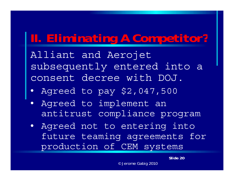### *II. Eliminating A Competitor?*

Alliant and Aerojet subsequently entered into a consent decree with DOJ.

- Agreed to pay \$2,047,500
- $\bullet$ • Agreed to implement an antitrust compliance program
- Agreed not to entering into future teaming agreements for production of CEM systems

*Slide 20*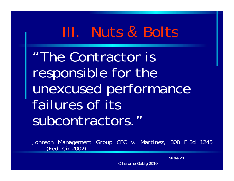"The Contractor is responsible for the unexcused performance failures of its subcontractors."

*Johnson Management Group CFC v. Martinez, 308 F.3d 1245 (Fed Cir 2002) (Fed.*

*Slide 21*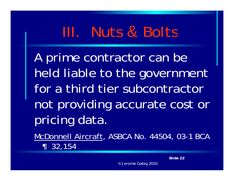A prime contractor can be held liable to the government for a third tier subcontractor not providing accurate cost or pricing data.

McDonnell Aircraft, ASBCA No. 44504, 03-1 BCA  $\textsf{P}$  32,154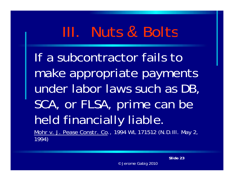If a subcontractor fails to make appropriate payments under labor laws such as DB, SCA, or FLSA, prime can be held financially liable. *Mohr v. J. Pease Constr. Co.,* 1994 WL 171512 (N.D.Ill. May 2, 1994)

*Slide 23*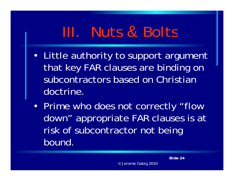- Little authority to support argument that key FAR clauses are binding on subcontractors based on Christian doctrine.
- Prime who does not correctly "flow down" appropriate FAR clauses is at risk of subcontractor not being bound.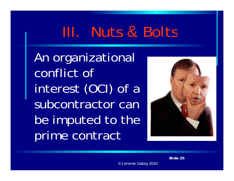An organizational conflict of interest (OCI) of a subcontractor can be imputed to the prime contract



*Slide 25*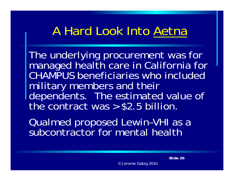The underlying procurement was for managed health care in California for CHAMPUS beneficiaries who included military members and their dependents. The estimated value of the contract was  $>$  \$2.5 billion.

Qualmed proposed Lewin –VHI as a subcontractor for mental health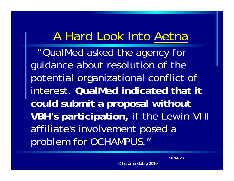""QualMed asked the agency for guidance about resolution of the potential organizational conflict of interest. **QualMed indicated that it could submit a proposal without VBH's participation,** if the Lewin–VHI affiliate's involvement posed a problem for OCHAMPUS."

*Slide 27*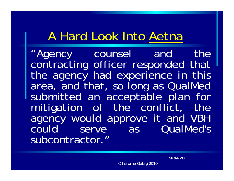"Agency counsel and the contracting officer responded that the agency had experience in this area, and that, so long as QualMed submitted an acce ptable plan fo r mitigation <sup>o</sup> f the conflict, the agency would approve it and VBH could serve as QualMed's subcontractor."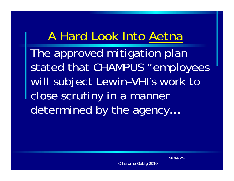The approved mitigation plan stated that CHAMPUS "employees will subject Lewin-VHI's work to close scrutin y in a manner determined by the agency….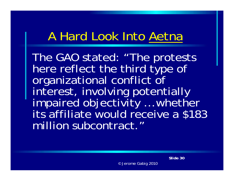The GAO stated: "The protests here reflect the third type of organizational conflict of interest, involving potentially impaired objectivity ... whether … vviivuivi its affiliate would receive a \$183 million subcontract."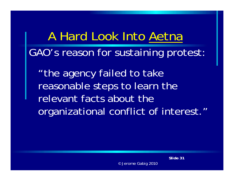A Hard Look Into Aetna GAO's reason for sustainin g protest:

"the agency failed to take reasonable steps to learn the relevant facts about the organizational conflict of interest."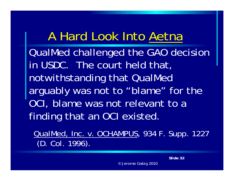QualMed challen ged the GAO decision in USDC. The court held that, notwithstanding that QualMed arguably was not to "blame" for the OCI, blame was not relevant to a finding that an OCI existed.

QualMed, Inc. v. OCHAMPUS, 934 F. Supp. 1227 (D. Col. 1996).

*Slide 32*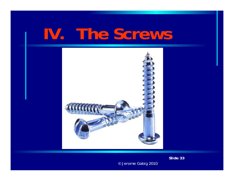# **IV The Screws .**



*Slide 33*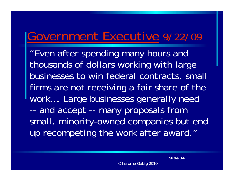### Government Executive 9/22/09

"Even after spending many hours and thousands of dollars working with large businesses to win federal contracts, small firms are not receiving a fair share of the work…. Large businesses generally need - and accept -- many proposals from small, minority-owned companies but end up recompeting the work after award."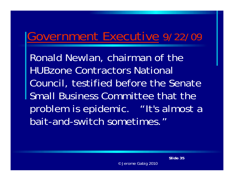### Government Executive 9/22/09

Ronald Newlan, chairman of the HUBzone Contractors National Council, testified before the Senate Small Business Committee that the problem is epidemic. "It's almost a bait-and-switch sometimes."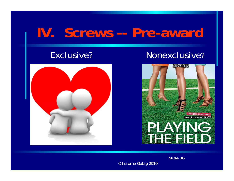### Exclusive?



### Nonexclusive?



*Slide 36*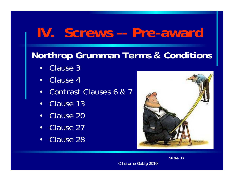### **Northrop Grumman Terms & Conditions**

- $\bullet$ Clause 3
- Clause 4
- Contrast Clauses 6 & 7
- $\bullet$ • Clause 13
- Clause 20
- Clause 27
- •Clause 28



*Slide 37*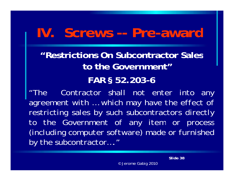**"Restrictions On Subcontractor Sales to the Government"**

#### **FAR § 52 203 . -6**

*"The Contractor shall not enter into any agreement with … which may have the effect of restricting sales by such subcontractors directly to the Government of any item or process (including computer software) made or furnished by the subcontractor…."*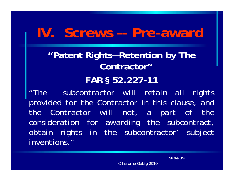**"Patent Rights—Retention by The Contractor"**

#### **FAR § 52 227 . -11**

*"The subcontractor will retain all rights provided for the Contractor in this clause, and the Contractor will not, <sup>a</sup> part of the consideration for awarding the subcontract, obtain rights in the subcontractor' subject inventions."*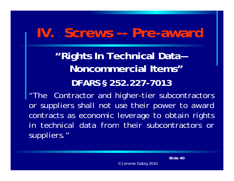**"Rights In Technical Data— Noncommercial Items"DFARS § 252.227-7013**

*"The Contractor and higher-tier subcontractors or suppliers shall not use their power to award contracts as economic leverage to obtain rights in technical data from their subcontractors or suppliers."*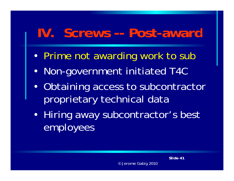## **IV. Screws -- Post-award**

- Prime not awarding work to sub
- Non-government initiated T4C
- Obtaining access to subcontractor proprietary technical data
- Hiring away subcontractor's best employees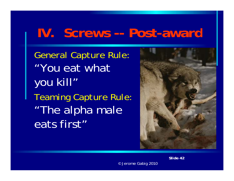### **IV.** Screws -- Post-award

*General Capture Rule:*  "You eat what you kill" *Teaming Capture Rule:* "The alpha male eats first"



*Slide 42*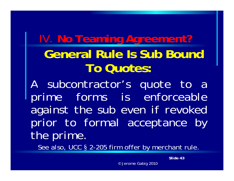## IV*.* **No Teaming Agreement? General Rule Is Sub Bound To Quotes:**

*A subcontractor's quote to <sup>a</sup> prime forms is enforceable against the sub even if revoked prior to formal acceptance by the prime.*

*See also* UCC § 2-205 firm offer by merchant rule *also,* rule.

*Slide 43*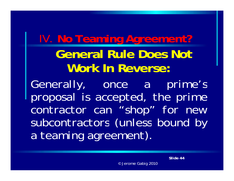### IV. **No Teaming Agreement? General Rule Does Not Work In Reverse:**

*Generally, once <sup>a</sup> prime's p p ro osal is accep , ted the prime contractor can "shop" for new subcontractors (unless bound by <sup>a</sup> teaming agreement).*

*Slide 44*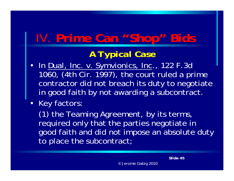## IV . **P i C "Sh " Bid Prime Can "Shop" Bids**

### *A Typical Case*

- In <u>Dual, Inc. v. Symvionics, Inc</u>., 122 F.3d 1060, (4th Cir. 1997), the court ruled a prime contractor did not breach its duty to negotiate in good faith by not awarding a subcontract.
- Key factors:

(1) the Teaming Agreement, by its terms, required only that the parties negotiate in good faith and did not impose an absolute duty to place the subcontract;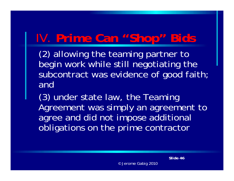### IV . **P i C "Sh " Bid Prime Can "Shop" Bids**

(2) allowing the teaming partner to begin work while still negotiating the subcontract was evidence of good faith; and

 $(3)$  under state law, the Teaming Agreement was simply an agreement to agree and did not impose additional obligations on the prime contractor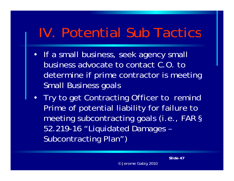## IV. Potential Sub Tactics

- If a small business, seek agency small business advocate to contact C.O. to determine if prime contractor is meeting Small Business goals
- Try to get Contracting Officer to remind Prime of potential liability for failure to meeting subcontracting goals (*i.e*., FAR § 52.219-16 "Liquidated Damages – Subcontracting Plan")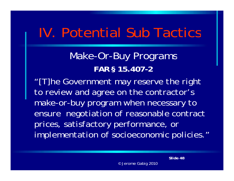## IV. Potential Sub Tactics

Make-Or-Buy Programs **FAR § 15.407-2**

*"[T]h G t th i ht e Government may reserve e right to review and agree on the contractor's make -or -buy program when necessary to ensure negotiation of reasonable contract prices satisfactory performance or prices, performance, implementation of socioeconomic policies."*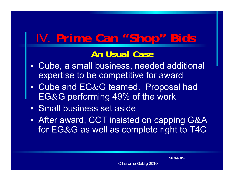### IV . **P i C "Sh " Bid Prime Can "Shop" Bids**

### *An Usual Case*

- Cube, a small business, needed additional expertise to be competitive for award
- Cube and  $E G\&G$  teamed. Proposal had  $EG&G$  performing 49% of the work
- Small business set aside
- After award, CCT insisted on capping G&A for  $E$ G&G as well as complete right to T4C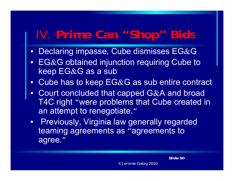### **IV. Prime Can "Shop" Bids**

- $\bullet~$  Declaring impasse, Cube dismisses EG&G  $~$
- $\bullet$  $EG&G$  obtained injunction requiring Cube to keep  $EG&G$  as a sub
- $\bullet$ Cube has to keep  $E G \& G$  as sub entire contract
- $\bullet$ Court concluded that capped G&A and broad T4C right "were problems that Cube created in an attempt to renegotiate."
- Previously, Virginia law generally regarded teaming agreements as "agreements to agree."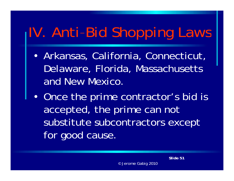# IV. Anti-Bid Shopping Laws

- Arkansas, California, Connecticut, Delaware, Florida, Massachusetts and New Mexico.
- Once the prime contractor's bid is accepted, the prime can not substitute subcontractors except for good cause.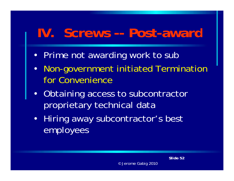## **IV. Screws -- Post-award**

- Prime not awarding work to sub
- Non-government initiated Termination for Convenience
- Obtaining access to subcontractor proprietary technical data
- Hiring away subcontractor's best employees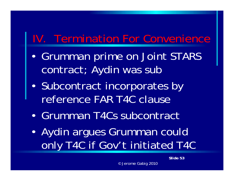### IV. Termination For Convenience

- • Grumman prime on Joint STARS contract; Aydin was sub
- • Subcontract incorporates by reference FAR T4C clause
- •Grumman T4Cs subcontract
- • Aydin argues Grumman could only T4C if Gov' 't initiated T4C

*Slide 53*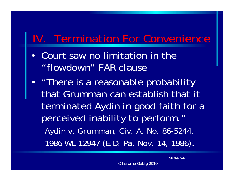### IV. Termination For Convenience

- • Court saw no limitation in the "flowdown" FAR clause
- •• "There is a reasonable probability that Grumman can establish that it terminated Aydin in good faith for a perceived inability to perform." *Aydin v. Grumman, Civ. A. No. 86-5244, 1986 WL 12947 (E.D. Pa. Nov. 14, 1986)*. *( )*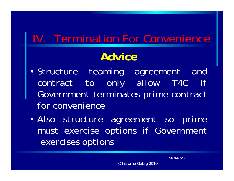### IV. Termination For Convenience

### **Advice**

- *Structure teaming agreement and contract to only all ow T4C i f Government terminates prime contract for convenience*
- *Also structure agreement so prime must exercise options if Government exercises options*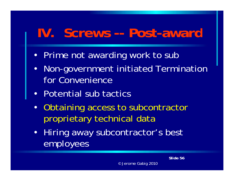## **IV. Screws -- Post-award**

- Prime not awarding work to sub
- Non-government initiated Termination for Convenience
- Potential sub tactics
- Obtaining access to subcontractor proprietary technical data
- Hiring away subcontractor's best employees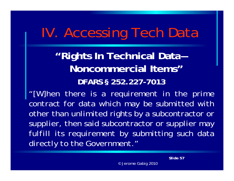## IV. Accessing Tech Data

**"Rights In Technical Data Noncommercial Items"DFARS § 252 227 252.227 -7013**

*"[W]hen there is <sup>a</sup> requirement in the prime* contract for data which may be submitted with *other than unlimited rights by <sup>a</sup> subcontractor or supplier supplier, then said subcontractor or supplier may fulfill its requirement by submitting such data directl y to the Government."*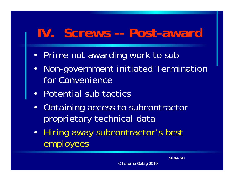## **IV. Screws -- Post-award**

- Prime not awarding work to sub
- Non-government initiated Termination for Convenience
- Potential sub tactics
- $\bullet$  Obtaining access to subcontractor proprietary technical data
- Hiring away subcontractor's best employees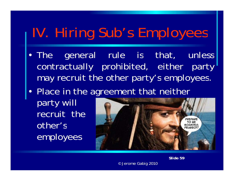## IV. Hiring Sub's Employees

- The general rule is that, unless contractually prohibited, either party may recruit the other party's employees.
- Place in the agreement that neither

party will recruit the other's employees



*Slide 59*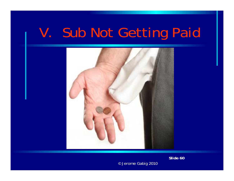

*Slide 60*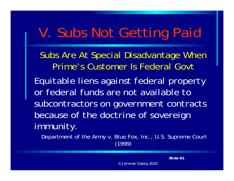Subs Are At Special Disadvantage When Prime's Customer Is Federal Govt

Equitable liens against federal property *or federal funds are not available to subcontractors on government contracts because of the doctrine of sovereign immunity immunity.*

Department of the Army v. Blue Fox, Inc., U.S. Supreme Court (1999)

*Slide 61*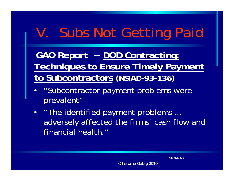**GAO Report -- DOD Contracting: Techniques to Ensure Timely Payment to Subcontractors (NSIAD -93 -136)**

- "Subcontractor payment problems were prevalent "
- "The identified payment problems … adversely affected the firms' cash flow and financial health."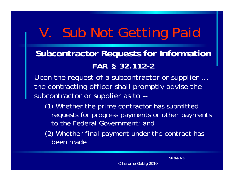### **Subcontractor Requests for Information** *FAR § 32.112-2*

Upon the request of a subcontractor or supplier … the contracting officer shall promptly advise the subcontractor or supplier as to --

- (1) Whether the prime contractor has submitted requests for progress payments or other payments to the Federal Government; and
- (2) Whether final payment under the contract has been made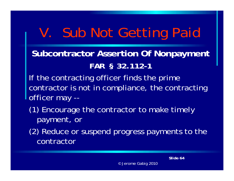### **Subcontractor Assertion Of Nonpayment** *FAR § 32.112-1*

If the contracting officer finds the prime contractor is not in compliance, the contracting officer ma y --

- (1) Encourage the contractor to make timely payment, or
- (2) Reduce or suspend progress payments to the contractor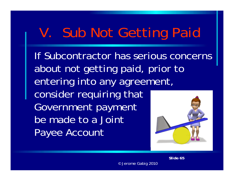If Subcontractor has serious concerns about not getting paid, prior to entering into any agreement, consider requiring that Government payment be made to a Joint Payee Account

*Slide 65*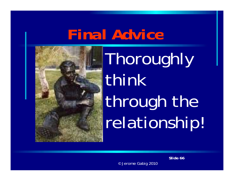# *Final Advice*



**Thoroughly** think through the relationship!

*Slide 66*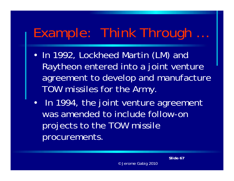#### Example: Think Through …

- In 1992, Lockheed Martin (LM) and Raytheon entered into a joint venture agreement to develop and manufacture TOW missiles for the Army.
- In 1994, the joint venture agreement was amended to include follow-on projects to the TOW missile procurements.